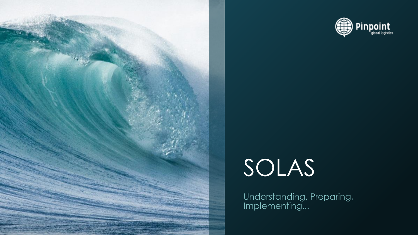



# SOLAS

Understanding, Preparing, Implementing...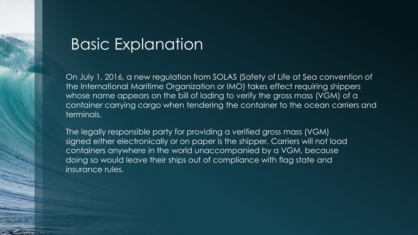## Basic Explanation

On July 1, 2016, a new regulation from SOLAS (Safety of Life at Sea convention of the International Maritime Organization or IMO) takes effect requiring shippers whose name appears on the bill of lading to verify the gross mass (VGM) of a container carrying cargo when tendering the container to the ocean carriers and terminals.

The legally responsible party for providing a verified gross mass (VGM) signed either electronically or on paper is the shipper. Carriers will not load containers anywhere in the world unaccompanied by a VGM, because doing so would leave their ships out of compliance with flag state and insurance rules.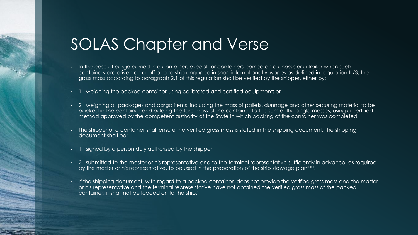# SOLAS Chapter and Verse

- In the case of cargo carried in a container, except for containers carried on a chassis or a trailer when such containers are driven on or off a ro-ro ship engaged in short international voyages as defined in regulation III/3, the gross mass according to paragraph 2.1 of this regulation shall be verified by the shipper, either by:
- 1 weighing the packed container using calibrated and certified equipment; or
- 2 weighing all packages and cargo items, including the mass of pallets, dunnage and other securing material to be packed in the container and adding the tare mass of the container to the sum of the single masses, using a certified method approved by the competent authority of the State in which packing of the container was completed.
- The shipper of a container shall ensure the verified gross mass is stated in the shipping document. The shipping document shall be:
- signed by a person duly authorized by the shipper;
- 2 submitted to the master or his representative and to the terminal representative sufficiently in advance, as required by the master or his representative, to be used in the preparation of the ship stowage plan\*\*\*.
- If the shipping document, with regard to a packed container, does not provide the verified gross mass and the master or his representative and the terminal representative have not obtained the verified gross mass of the packed container, it shall not be loaded on to the ship."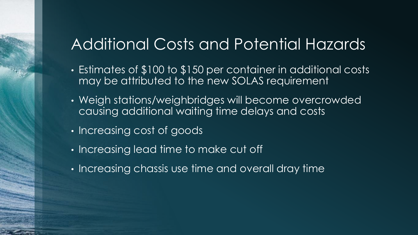# Additional Costs and Potential Hazards

- Estimates of \$100 to \$150 per container in additional costs may be attributed to the new SOLAS requirement
- Weigh stations/weighbridges will become overcrowded causing additional waiting time delays and costs
- Increasing cost of goods
- Increasing lead time to make cut off
- Increasing chassis use time and overall dray time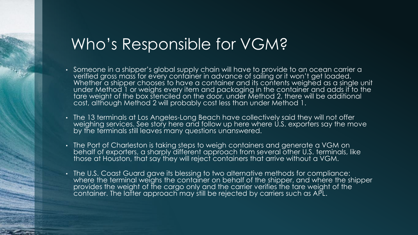### Who's Responsible for VGM?

- Someone in a shipper's global supply chain will have to provide to an ocean carrier a verified gross mass for every container in advance of sailing or it won't get loaded. Whether a shipper chooses to have a container and its contents weighed as a single unit under Method 1 or weighs every item and packaging in the container and adds it to the tare weight of the box stenciled on the door, under Method 2, there will be additional cost, although Method 2 will probably cost less than under Method 1.
- The 13 terminals at Los Angeles-Long Beach have collectively said they will not offer weighing services. See story here and follow up here where U.S. exporters say the move by the terminals still leaves many questions unanswered.
- The Port of Charleston is taking steps to weigh containers and generate a VGM on behalf of exporters, a sharply different approach from several other U.S. terminals, like those at Houston, that say they will reject containers that arrive without a VGM.
- The U.S. Coast Guard gave its blessing to two alternative methods for compliance: where the terminal weighs the container on behalf of the shipper, and where the shipper provides the weight of the cargo only and the carrier verifies the tare weight of the container. The latter approach may still be rejected by carriers such as APL.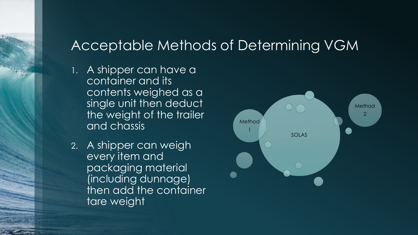### Acceptable Methods of Determining VGM

- 1. A shipper can have a container and its contents weighed as a single unit then deduct the weight of the trailer and chassis
- 2. A shipper can weigh every item and packaging material (including dunnage) then add the container tare weight

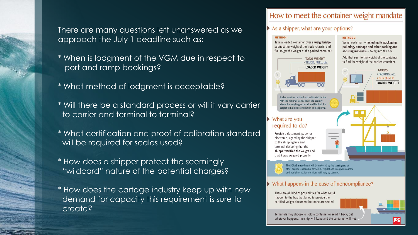There are many questions left unanswered as we approach the July 1 deadline such as:

- \* When is lodgment of the VGM due in respect to port and ramp bookings?
- \* What method of lodgment is acceptable?
- \* Will there be a standard process or will it vary carrier to carrier and terminal to terminal?
- \* What certification and proof of calibration standard will be required for scales used?
- \* How does a shipper protect the seemingly "wildcard" nature of the potential charges?
- \* How does the cartage industry keep up with new demand for capacity this requirement is sure to create?

### How to meet the container weight mandate

**METHOD 2** 

### As a shipper, what are your options?

#### **METHOD 1**

Take a loaded container over a weighbridge, subtract the weight of the truck, chassis, and fuel to get the weight of the packed container.



with the national standards of the country

What are you required to do?

> Provide a document, paper or electronic, signed by the shipper to the shipping line and terminal declaring that the shipper verified the weight and that it was weighed properly.

Weigh each item - including its packaging. palleting, dunnage and other packing and securing materials - going into the box.

Add that sum to the weight of the container to find the weight of the packed container.



The SOLAS amendment will be enforced by the coast guard or other agency responsible for SOLAS regulations in a given country and punishments for violations will vary by country.

### What happens in the case of noncompliance?

There are all kind of possibilities for what could happen to the box that failed to provide the certified weight document but none are settled.



Terminals may choose to hold a container or send it back, but whatever happens, the ship will leave and the container will not.